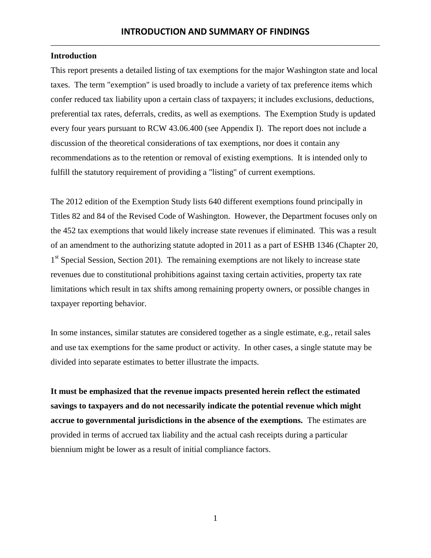#### **Introduction**

This report presents a detailed listing of tax exemptions for the major Washington state and local taxes. The term "exemption" is used broadly to include a variety of tax preference items which confer reduced tax liability upon a certain class of taxpayers; it includes exclusions, deductions, preferential tax rates, deferrals, credits, as well as exemptions. The Exemption Study is updated every four years pursuant to RCW 43.06.400 (see Appendix I). The report does not include a discussion of the theoretical considerations of tax exemptions, nor does it contain any recommendations as to the retention or removal of existing exemptions. It is intended only to fulfill the statutory requirement of providing a "listing" of current exemptions.

The 2012 edition of the Exemption Study lists 640 different exemptions found principally in Titles 82 and 84 of the Revised Code of Washington. However, the Department focuses only on the 452 tax exemptions that would likely increase state revenues if eliminated. This was a result of an amendment to the authorizing statute adopted in 2011 as a part of ESHB 1346 (Chapter 20, 1<sup>st</sup> Special Session, Section 201). The remaining exemptions are not likely to increase state revenues due to constitutional prohibitions against taxing certain activities, property tax rate limitations which result in tax shifts among remaining property owners, or possible changes in taxpayer reporting behavior.

In some instances, similar statutes are considered together as a single estimate, e.g., retail sales and use tax exemptions for the same product or activity. In other cases, a single statute may be divided into separate estimates to better illustrate the impacts.

**It must be emphasized that the revenue impacts presented herein reflect the estimated savings to taxpayers and do not necessarily indicate the potential revenue which might accrue to governmental jurisdictions in the absence of the exemptions.** The estimates are provided in terms of accrued tax liability and the actual cash receipts during a particular biennium might be lower as a result of initial compliance factors.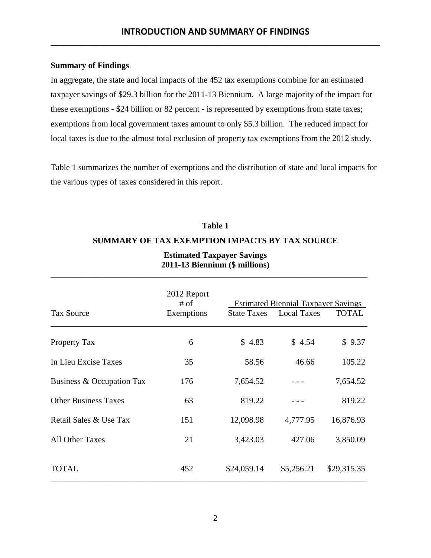#### **Summary of Findings**

In aggregate, the state and local impacts of the 452 tax exemptions combine for an estimated taxpayer savings of \$29.3 billion for the 2011-13 Biennium. A large majority of the impact for these exemptions - \$24 billion or 82 percent - is represented by exemptions from state taxes; exemptions from local government taxes amount to only \$5.3 billion. The reduced impact for local taxes is due to the almost total exclusion of property tax exemptions from the 2012 study.

Table 1 summarizes the number of exemptions and the distribution of state and local impacts for the various types of taxes considered in this report.

# **Table 1 SUMMARY OF TAX EXEMPTION IMPACTS BY TAX SOURCE**

|                             | 2012 Report<br>$#$ of | <b>Estimated Biennial Taxpayer Savings</b> |                                |              |  |
|-----------------------------|-----------------------|--------------------------------------------|--------------------------------|--------------|--|
| <b>Tax Source</b>           | Exemptions            |                                            | <b>State Taxes</b> Local Taxes | <b>TOTAL</b> |  |
| <b>Property Tax</b>         | 6                     | \$4.83                                     | \$4.54                         | \$9.37       |  |
| In Lieu Excise Taxes        | 35                    | 58.56                                      | 46.66                          | 105.22       |  |
| Business & Occupation Tax   | 176                   | 7,654.52                                   |                                | 7,654.52     |  |
| <b>Other Business Taxes</b> | 63                    | 819.22                                     |                                | 819.22       |  |
| Retail Sales & Use Tax      | 151                   | 12,098.98                                  | 4,777.95                       | 16,876.93    |  |
| <b>All Other Taxes</b>      | 21                    | 3,423.03                                   | 427.06                         | 3,850.09     |  |
| TOTAL                       | 452                   | \$24,059.14                                | \$5,256.21                     | \$29,315.35  |  |

# **Estimated Taxpayer Savings 2011-13 Biennium (\$ millions)**

\_\_\_\_\_\_\_\_\_\_\_\_\_\_\_\_\_\_\_\_\_\_\_\_\_\_\_\_\_\_\_\_\_\_\_\_\_\_\_\_\_\_\_\_\_\_\_\_\_\_\_\_\_\_\_\_\_\_\_\_\_\_\_\_\_\_\_\_\_\_\_\_\_\_\_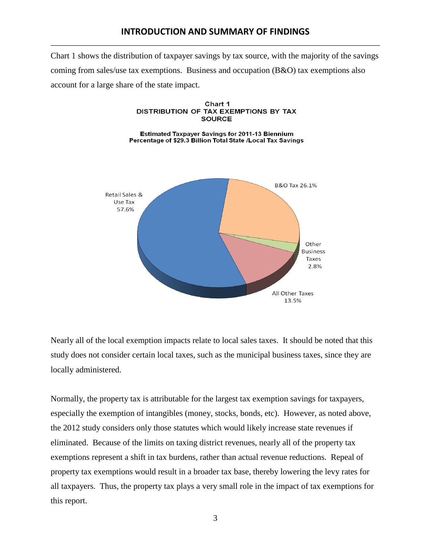Chart 1 shows the distribution of taxpayer savings by tax source, with the majority of the savings coming from sales/use tax exemptions. Business and occupation  $(B&O)$  tax exemptions also account for a large share of the state impact.



Nearly all of the local exemption impacts relate to local sales taxes. It should be noted that this study does not consider certain local taxes, such as the municipal business taxes, since they are locally administered.

Normally, the property tax is attributable for the largest tax exemption savings for taxpayers, especially the exemption of intangibles (money, stocks, bonds, etc). However, as noted above, the 2012 study considers only those statutes which would likely increase state revenues if eliminated. Because of the limits on taxing district revenues, nearly all of the property tax exemptions represent a shift in tax burdens, rather than actual revenue reductions. Repeal of property tax exemptions would result in a broader tax base, thereby lowering the levy rates for all taxpayers. Thus, the property tax plays a very small role in the impact of tax exemptions for this report.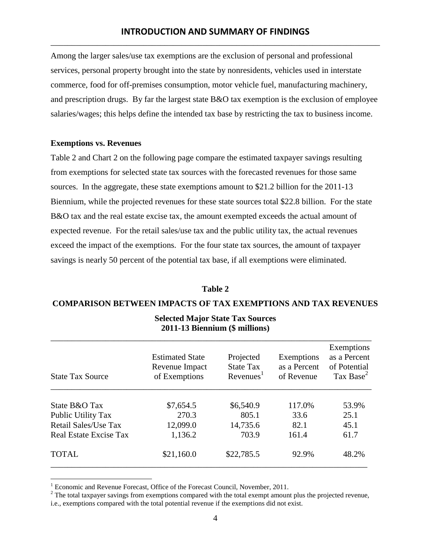Among the larger sales/use tax exemptions are the exclusion of personal and professional services, personal property brought into the state by nonresidents, vehicles used in interstate commerce, food for off-premises consumption, motor vehicle fuel, manufacturing machinery, and prescription drugs. By far the largest state B&O tax exemption is the exclusion of employee salaries/wages; this helps define the intended tax base by restricting the tax to business income.

#### **Exemptions vs. Revenues**

 $\overline{a}$ 

Table 2 and Chart 2 on the following page compare the estimated taxpayer savings resulting from exemptions for selected state tax sources with the forecasted revenues for those same sources. In the aggregate, these state exemptions amount to \$21.2 billion for the 2011-13 Biennium, while the projected revenues for these state sources total \$22.8 billion. For the state B&O tax and the real estate excise tax, the amount exempted exceeds the actual amount of expected revenue. For the retail sales/use tax and the public utility tax, the actual revenues exceed the impact of the exemptions. For the four state tax sources, the amount of taxpayer savings is nearly 50 percent of the potential tax base, if all exemptions were eliminated.

#### **Table 2**

#### **COMPARISON BETWEEN IMPACTS OF TAX EXEMPTIONS AND TAX REVENUES**

| <b>State Tax Source</b>       | <b>Estimated State</b><br>Revenue Impact<br>of Exemptions | Projected<br><b>State Tax</b><br>Revenues <sup>1</sup> | Exemptions<br>as a Percent<br>of Revenue | Exemptions<br>as a Percent<br>of Potential<br>Tax Base <sup>2</sup> |
|-------------------------------|-----------------------------------------------------------|--------------------------------------------------------|------------------------------------------|---------------------------------------------------------------------|
| State B&O Tax                 | \$7,654.5                                                 | \$6,540.9                                              | 117.0%                                   | 53.9%                                                               |
| Public Utility Tax            | 270.3                                                     | 805.1                                                  | 33.6                                     | 25.1                                                                |
| Retail Sales/Use Tax          | 12,099.0                                                  | 14,735.6                                               | 82.1                                     | 45.1                                                                |
| <b>Real Estate Excise Tax</b> | 1,136.2                                                   | 703.9                                                  | 161.4                                    | 61.7                                                                |
| <b>TOTAL</b>                  | \$21,160.0                                                | \$22,785.5                                             | 92.9%                                    | 48.2%                                                               |

#### **Selected Major State Tax Sources 2011-13 Biennium (\$ millions)**

<sup>&</sup>lt;sup>1</sup> Economic and Revenue Forecast, Office of the Forecast Council, November, 2011.

<sup>&</sup>lt;sup>2</sup> The total taxpayer savings from exemptions compared with the total exempt amount plus the projected revenue,

i.e., exemptions compared with the total potential revenue if the exemptions did not exist.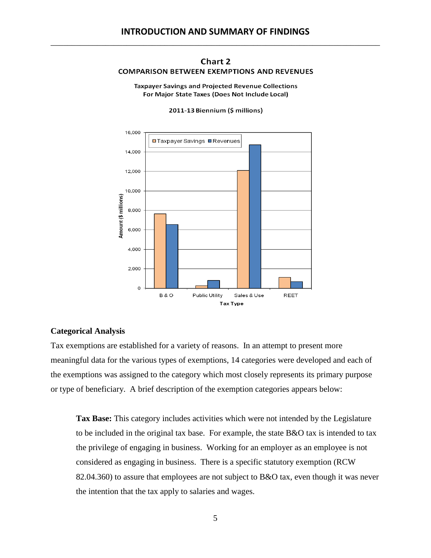#### Chart 2 **COMPARISON BETWEEN EXEMPTIONS AND REVENUES**

**Taxpayer Savings and Projected Revenue Collections** For Major State Taxes (Does Not Include Local)

2011-13 Biennium (\$ millions)



#### **Categorical Analysis**

Tax exemptions are established for a variety of reasons. In an attempt to present more meaningful data for the various types of exemptions, 14 categories were developed and each of the exemptions was assigned to the category which most closely represents its primary purpose or type of beneficiary. A brief description of the exemption categories appears below:

**Tax Base:** This category includes activities which were not intended by the Legislature to be included in the original tax base. For example, the state B&O tax is intended to tax the privilege of engaging in business. Working for an employer as an employee is not considered as engaging in business. There is a specific statutory exemption (RCW 82.04.360) to assure that employees are not subject to B&O tax, even though it was never the intention that the tax apply to salaries and wages.

5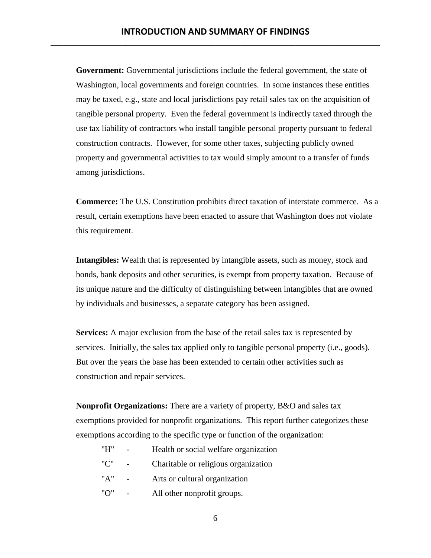**Government:** Governmental jurisdictions include the federal government, the state of Washington, local governments and foreign countries. In some instances these entities may be taxed, e.g., state and local jurisdictions pay retail sales tax on the acquisition of tangible personal property. Even the federal government is indirectly taxed through the use tax liability of contractors who install tangible personal property pursuant to federal construction contracts. However, for some other taxes, subjecting publicly owned property and governmental activities to tax would simply amount to a transfer of funds among jurisdictions.

**Commerce:** The U.S. Constitution prohibits direct taxation of interstate commerce. As a result, certain exemptions have been enacted to assure that Washington does not violate this requirement.

**Intangibles:** Wealth that is represented by intangible assets, such as money, stock and bonds, bank deposits and other securities, is exempt from property taxation. Because of its unique nature and the difficulty of distinguishing between intangibles that are owned by individuals and businesses, a separate category has been assigned.

**Services:** A major exclusion from the base of the retail sales tax is represented by services. Initially, the sales tax applied only to tangible personal property (i.e., goods). But over the years the base has been extended to certain other activities such as construction and repair services.

**Nonprofit Organizations:** There are a variety of property, B&O and sales tax exemptions provided for nonprofit organizations. This report further categorizes these exemptions according to the specific type or function of the organization:

| "H" | Health or social welfare organization |
|-----|---------------------------------------|
| "C" | Charitable or religious organization  |
| "A" | Arts or cultural organization         |

"O" - All other nonprofit groups.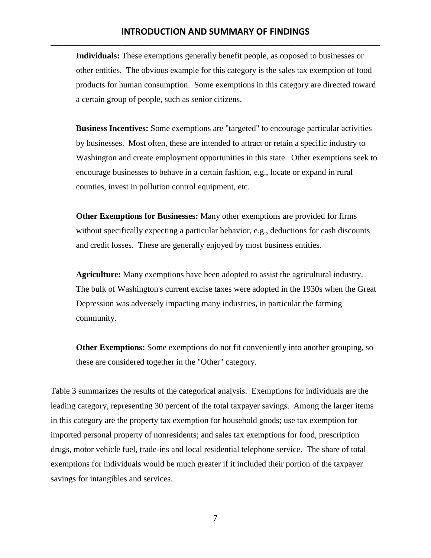**Individuals:** These exemptions generally benefit people, as opposed to businesses or other entities. The obvious example for this category is the sales tax exemption of food products for human consumption. Some exemptions in this category are directed toward a certain group of people, such as senior citizens.

**Business Incentives:** Some exemptions are "targeted" to encourage particular activities by businesses. Most often, these are intended to attract or retain a specific industry to Washington and create employment opportunities in this state. Other exemptions seek to encourage businesses to behave in a certain fashion, e.g., locate or expand in rural counties, invest in pollution control equipment, etc.

**Other Exemptions for Businesses:** Many other exemptions are provided for firms without specifically expecting a particular behavior, e.g., deductions for cash discounts and credit losses. These are generally enjoyed by most business entities.

**Agriculture:** Many exemptions have been adopted to assist the agricultural industry. The bulk of Washington's current excise taxes were adopted in the 1930s when the Great Depression was adversely impacting many industries, in particular the farming community.

**Other Exemptions:** Some exemptions do not fit conveniently into another grouping, so these are considered together in the "Other" category.

Table 3 summarizes the results of the categorical analysis. Exemptions for individuals are the leading category, representing 30 percent of the total taxpayer savings. Among the larger items in this category are the property tax exemption for household goods; use tax exemption for imported personal property of nonresidents; and sales tax exemptions for food, prescription drugs, motor vehicle fuel, trade-ins and local residential telephone service. The share of total exemptions for individuals would be much greater if it included their portion of the taxpayer savings for intangibles and services.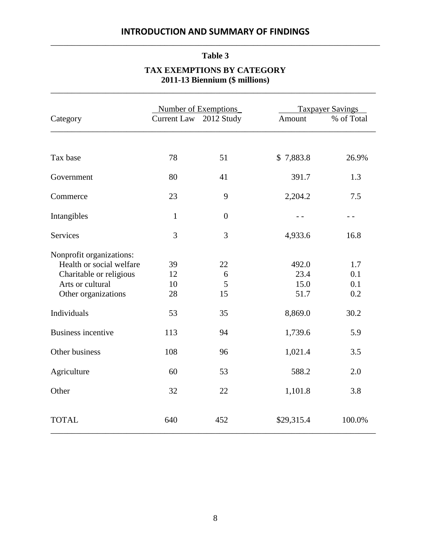# **Table 3**

# **TAX EXEMPTIONS BY CATEGORY**

**2011-13 Biennium (\$ millions)** \_\_\_\_\_\_\_\_\_\_\_\_\_\_\_\_\_\_\_\_\_\_\_\_\_\_\_\_\_\_\_\_\_\_\_\_\_\_\_\_\_\_\_\_\_\_\_\_\_\_\_\_\_\_\_\_\_\_\_\_\_\_\_\_\_\_\_\_\_\_\_\_\_\_\_\_\_

|                                                                                                                                           | Number of Exemptions       |                          |                                          | <b>Taxpayer Savings</b>          |  |
|-------------------------------------------------------------------------------------------------------------------------------------------|----------------------------|--------------------------|------------------------------------------|----------------------------------|--|
| Category                                                                                                                                  | <b>Current Law</b>         | 2012 Study               | Amount                                   | % of Total                       |  |
|                                                                                                                                           |                            |                          |                                          |                                  |  |
| Tax base                                                                                                                                  | 78                         | 51                       | \$7,883.8                                | 26.9%                            |  |
| Government                                                                                                                                | 80                         | 41                       | 391.7                                    | 1.3                              |  |
| Commerce                                                                                                                                  | 23                         | 9                        | 2,204.2                                  | 7.5                              |  |
| Intangibles                                                                                                                               | $\mathbf{1}$               | $\boldsymbol{0}$         | $ -$                                     | $ -$                             |  |
| <b>Services</b>                                                                                                                           | 3                          | 3                        | 4,933.6                                  | 16.8                             |  |
| Nonprofit organizations:<br>Health or social welfare<br>Charitable or religious<br>Arts or cultural<br>Other organizations<br>Individuals | 39<br>12<br>10<br>28<br>53 | 22<br>6<br>5<br>15<br>35 | 492.0<br>23.4<br>15.0<br>51.7<br>8,869.0 | 1.7<br>0.1<br>0.1<br>0.2<br>30.2 |  |
| <b>Business incentive</b>                                                                                                                 | 113                        | 94                       | 1,739.6                                  | 5.9                              |  |
| Other business                                                                                                                            | 108                        | 96                       | 1,021.4                                  | 3.5                              |  |
| Agriculture                                                                                                                               | 60                         | 53                       | 588.2                                    | 2.0                              |  |
| Other                                                                                                                                     | 32                         | 22                       | 1,101.8                                  | 3.8                              |  |
| <b>TOTAL</b>                                                                                                                              | 640                        | 452                      | \$29,315.4                               | 100.0%                           |  |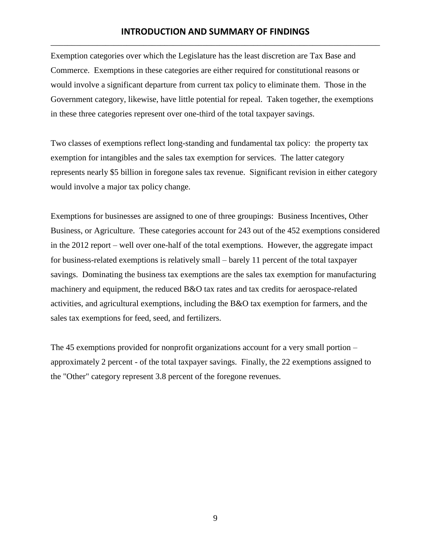Exemption categories over which the Legislature has the least discretion are Tax Base and Commerce. Exemptions in these categories are either required for constitutional reasons or would involve a significant departure from current tax policy to eliminate them. Those in the Government category, likewise, have little potential for repeal. Taken together, the exemptions in these three categories represent over one-third of the total taxpayer savings.

Two classes of exemptions reflect long-standing and fundamental tax policy: the property tax exemption for intangibles and the sales tax exemption for services. The latter category represents nearly \$5 billion in foregone sales tax revenue. Significant revision in either category would involve a major tax policy change.

Exemptions for businesses are assigned to one of three groupings: Business Incentives, Other Business, or Agriculture. These categories account for 243 out of the 452 exemptions considered in the 2012 report – well over one-half of the total exemptions. However, the aggregate impact for business-related exemptions is relatively small – barely 11 percent of the total taxpayer savings. Dominating the business tax exemptions are the sales tax exemption for manufacturing machinery and equipment, the reduced B&O tax rates and tax credits for aerospace-related activities, and agricultural exemptions, including the B&O tax exemption for farmers, and the sales tax exemptions for feed, seed, and fertilizers.

The 45 exemptions provided for nonprofit organizations account for a very small portion – approximately 2 percent - of the total taxpayer savings. Finally, the 22 exemptions assigned to the "Other" category represent 3.8 percent of the foregone revenues.

9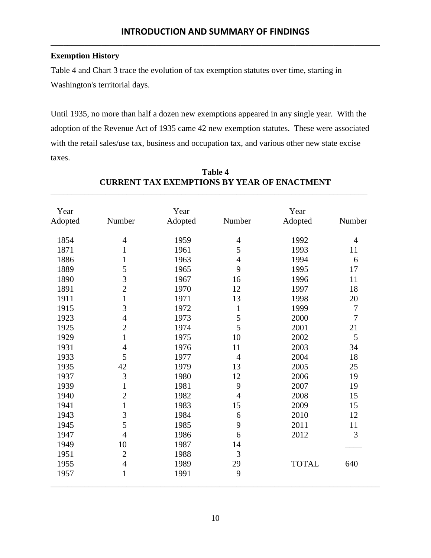## **Exemption History**

Table 4 and Chart 3 trace the evolution of tax exemption statutes over time, starting in Washington's territorial days.

Until 1935, no more than half a dozen new exemptions appeared in any single year. With the adoption of the Revenue Act of 1935 came 42 new exemption statutes. These were associated with the retail sales/use tax, business and occupation tax, and various other new state excise taxes.

| Year    |                | Year           |                | Year         |                |
|---------|----------------|----------------|----------------|--------------|----------------|
| Adopted | <b>Number</b>  | <b>Adopted</b> | <b>Number</b>  | Adopted      | <b>Number</b>  |
| 1854    | $\overline{4}$ | 1959           | $\overline{4}$ | 1992         | $\overline{4}$ |
| 1871    | $\mathbf{1}$   | 1961           | 5              | 1993         | 11             |
| 1886    | $\mathbf{1}$   | 1963           | $\overline{4}$ | 1994         | 6              |
| 1889    | 5              | 1965           | 9              | 1995         | 17             |
| 1890    | 3              | 1967           | 16             | 1996         | 11             |
| 1891    | $\overline{2}$ | 1970           | 12             | 1997         | 18             |
| 1911    | $\mathbf{1}$   | 1971           | 13             | 1998         | 20             |
| 1915    | 3              | 1972           | $\mathbf{1}$   | 1999         | $\overline{7}$ |
| 1923    | $\overline{4}$ | 1973           | 5              | 2000         | $\overline{7}$ |
| 1925    | $\overline{c}$ | 1974           | 5              | 2001         | 21             |
| 1929    | $\mathbf{1}$   | 1975           | 10             | 2002         | 5              |
| 1931    | $\overline{4}$ | 1976           | 11             | 2003         | 34             |
| 1933    | 5              | 1977           | $\overline{4}$ | 2004         | 18             |
| 1935    | 42             | 1979           | 13             | 2005         | 25             |
| 1937    | $\mathfrak{Z}$ | 1980           | 12             | 2006         | 19             |
| 1939    | $\mathbf{1}$   | 1981           | 9              | 2007         | 19             |
| 1940    | $\overline{2}$ | 1982           | $\overline{4}$ | 2008         | 15             |
| 1941    | $\mathbf{1}$   | 1983           | 15             | 2009         | 15             |
| 1943    | 3              | 1984           | 6              | 2010         | 12             |
| 1945    | 5              | 1985           | 9              | 2011         | 11             |
| 1947    | $\overline{4}$ | 1986           | 6              | 2012         | 3              |
| 1949    | 10             | 1987           | 14             |              |                |
| 1951    | $\overline{2}$ | 1988           | 3              |              |                |
| 1955    | $\overline{4}$ | 1989           | 29             | <b>TOTAL</b> | 640            |
| 1957    | $\mathbf{1}$   | 1991           | 9              |              |                |

### **Table 4 CURRENT TAX EXEMPTIONS BY YEAR OF ENACTMENT** \_\_\_\_\_\_\_\_\_\_\_\_\_\_\_\_\_\_\_\_\_\_\_\_\_\_\_\_\_\_\_\_\_\_\_\_\_\_\_\_\_\_\_\_\_\_\_\_\_\_\_\_\_\_\_\_\_\_\_\_\_\_\_\_\_\_\_\_\_\_\_\_\_\_\_